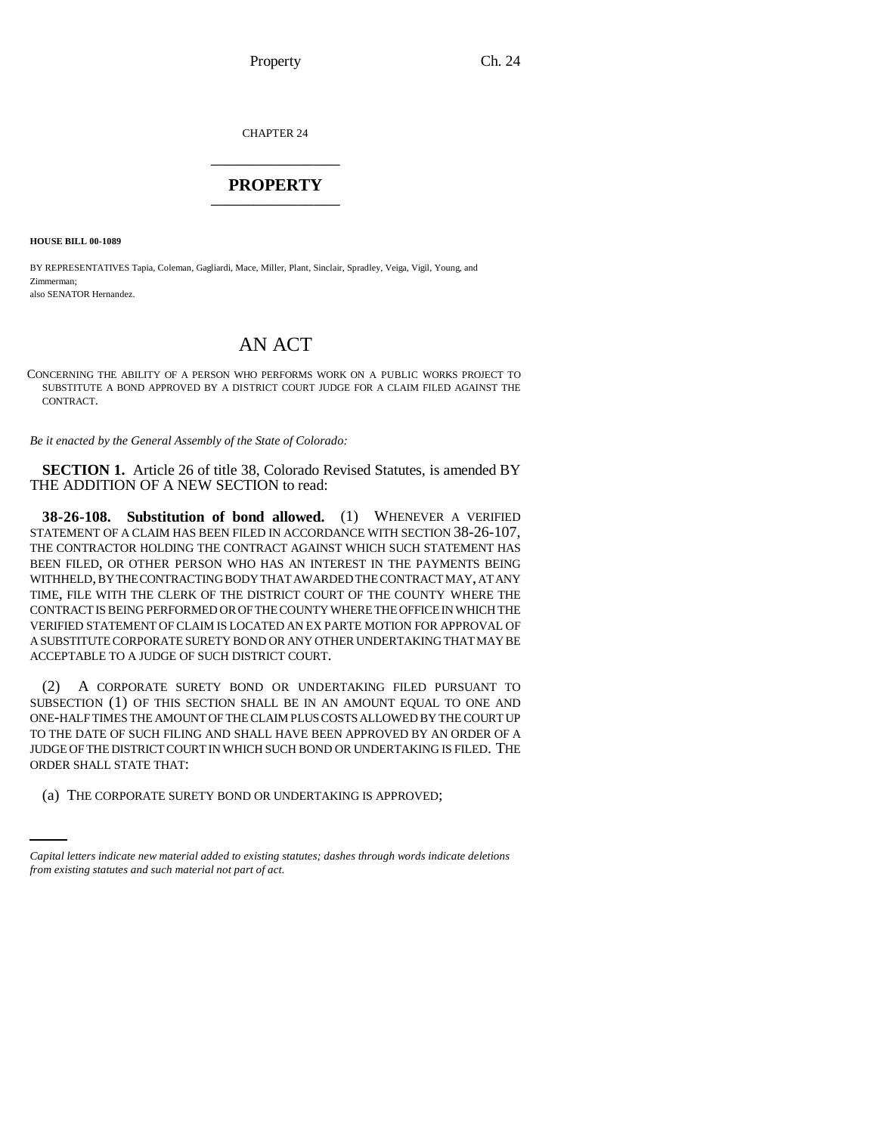CHAPTER 24 \_\_\_\_\_\_\_\_\_\_\_\_\_\_\_

## **PROPERTY** \_\_\_\_\_\_\_\_\_\_\_\_\_\_\_

**HOUSE BILL 00-1089** 

BY REPRESENTATIVES Tapia, Coleman, Gagliardi, Mace, Miller, Plant, Sinclair, Spradley, Veiga, Vigil, Young, and Zimmerman; also SENATOR Hernandez.

## AN ACT

CONCERNING THE ABILITY OF A PERSON WHO PERFORMS WORK ON A PUBLIC WORKS PROJECT TO SUBSTITUTE A BOND APPROVED BY A DISTRICT COURT JUDGE FOR A CLAIM FILED AGAINST THE CONTRACT.

*Be it enacted by the General Assembly of the State of Colorado:*

**SECTION 1.** Article 26 of title 38, Colorado Revised Statutes, is amended BY THE ADDITION OF A NEW SECTION to read:

**38-26-108. Substitution of bond allowed.** (1) WHENEVER A VERIFIED STATEMENT OF A CLAIM HAS BEEN FILED IN ACCORDANCE WITH SECTION 38-26-107, THE CONTRACTOR HOLDING THE CONTRACT AGAINST WHICH SUCH STATEMENT HAS BEEN FILED, OR OTHER PERSON WHO HAS AN INTEREST IN THE PAYMENTS BEING WITHHELD, BY THE CONTRACTING BODY THAT AWARDED THE CONTRACT MAY, AT ANY TIME, FILE WITH THE CLERK OF THE DISTRICT COURT OF THE COUNTY WHERE THE CONTRACT IS BEING PERFORMED OR OF THE COUNTY WHERE THE OFFICE IN WHICH THE VERIFIED STATEMENT OF CLAIM IS LOCATED AN EX PARTE MOTION FOR APPROVAL OF A SUBSTITUTE CORPORATE SURETY BOND OR ANY OTHER UNDERTAKING THAT MAY BE ACCEPTABLE TO A JUDGE OF SUCH DISTRICT COURT.

ORDER SHALL STATE THAT: (2) A CORPORATE SURETY BOND OR UNDERTAKING FILED PURSUANT TO SUBSECTION (1) OF THIS SECTION SHALL BE IN AN AMOUNT EQUAL TO ONE AND ONE-HALF TIMES THE AMOUNT OF THE CLAIM PLUS COSTS ALLOWED BY THE COURT UP TO THE DATE OF SUCH FILING AND SHALL HAVE BEEN APPROVED BY AN ORDER OF A JUDGE OF THE DISTRICT COURT IN WHICH SUCH BOND OR UNDERTAKING IS FILED. THE

(a) THE CORPORATE SURETY BOND OR UNDERTAKING IS APPROVED;

*Capital letters indicate new material added to existing statutes; dashes through words indicate deletions from existing statutes and such material not part of act.*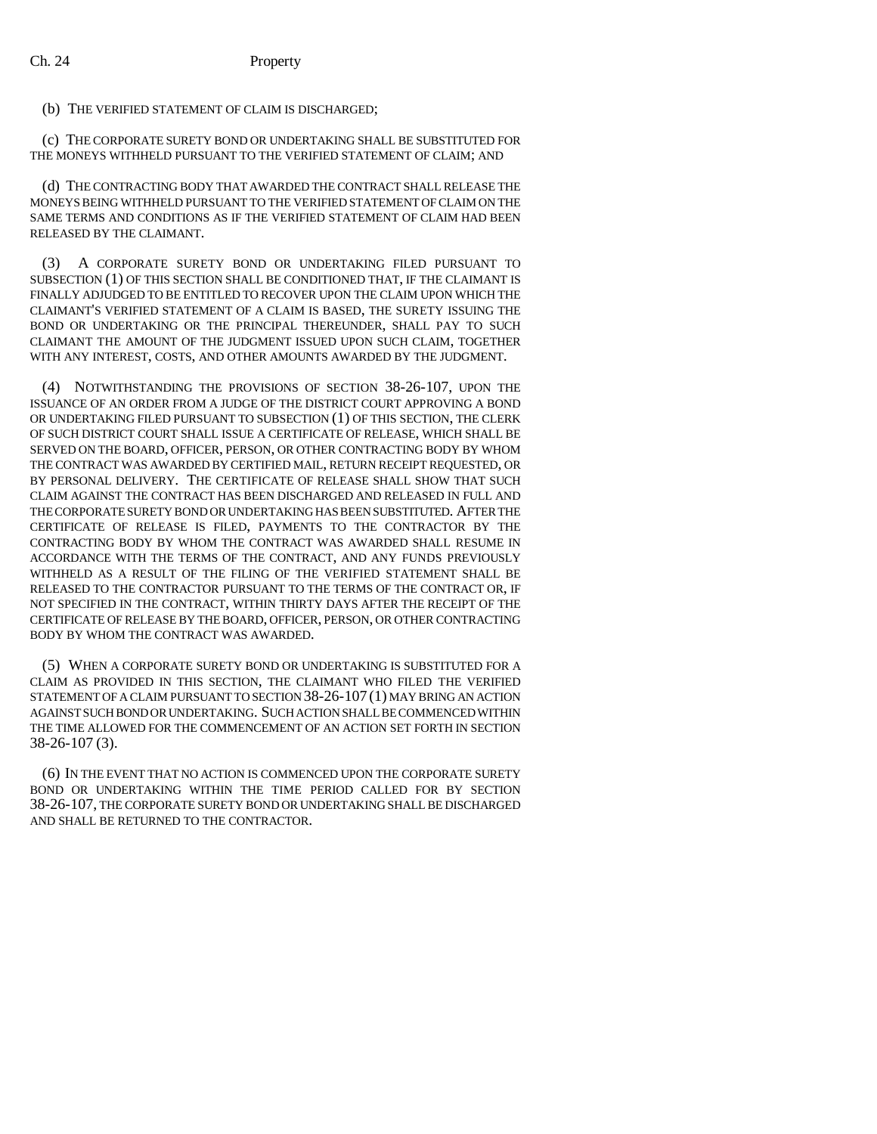## (b) THE VERIFIED STATEMENT OF CLAIM IS DISCHARGED;

(c) THE CORPORATE SURETY BOND OR UNDERTAKING SHALL BE SUBSTITUTED FOR THE MONEYS WITHHELD PURSUANT TO THE VERIFIED STATEMENT OF CLAIM; AND

(d) THE CONTRACTING BODY THAT AWARDED THE CONTRACT SHALL RELEASE THE MONEYS BEING WITHHELD PURSUANT TO THE VERIFIED STATEMENT OF CLAIM ON THE SAME TERMS AND CONDITIONS AS IF THE VERIFIED STATEMENT OF CLAIM HAD BEEN RELEASED BY THE CLAIMANT.

(3) A CORPORATE SURETY BOND OR UNDERTAKING FILED PURSUANT TO SUBSECTION (1) OF THIS SECTION SHALL BE CONDITIONED THAT, IF THE CLAIMANT IS FINALLY ADJUDGED TO BE ENTITLED TO RECOVER UPON THE CLAIM UPON WHICH THE CLAIMANT'S VERIFIED STATEMENT OF A CLAIM IS BASED, THE SURETY ISSUING THE BOND OR UNDERTAKING OR THE PRINCIPAL THEREUNDER, SHALL PAY TO SUCH CLAIMANT THE AMOUNT OF THE JUDGMENT ISSUED UPON SUCH CLAIM, TOGETHER WITH ANY INTEREST, COSTS, AND OTHER AMOUNTS AWARDED BY THE JUDGMENT.

(4) NOTWITHSTANDING THE PROVISIONS OF SECTION 38-26-107, UPON THE ISSUANCE OF AN ORDER FROM A JUDGE OF THE DISTRICT COURT APPROVING A BOND OR UNDERTAKING FILED PURSUANT TO SUBSECTION (1) OF THIS SECTION, THE CLERK OF SUCH DISTRICT COURT SHALL ISSUE A CERTIFICATE OF RELEASE, WHICH SHALL BE SERVED ON THE BOARD, OFFICER, PERSON, OR OTHER CONTRACTING BODY BY WHOM THE CONTRACT WAS AWARDED BY CERTIFIED MAIL, RETURN RECEIPT REQUESTED, OR BY PERSONAL DELIVERY. THE CERTIFICATE OF RELEASE SHALL SHOW THAT SUCH CLAIM AGAINST THE CONTRACT HAS BEEN DISCHARGED AND RELEASED IN FULL AND THE CORPORATE SURETY BOND OR UNDERTAKING HAS BEEN SUBSTITUTED. AFTER THE CERTIFICATE OF RELEASE IS FILED, PAYMENTS TO THE CONTRACTOR BY THE CONTRACTING BODY BY WHOM THE CONTRACT WAS AWARDED SHALL RESUME IN ACCORDANCE WITH THE TERMS OF THE CONTRACT, AND ANY FUNDS PREVIOUSLY WITHHELD AS A RESULT OF THE FILING OF THE VERIFIED STATEMENT SHALL BE RELEASED TO THE CONTRACTOR PURSUANT TO THE TERMS OF THE CONTRACT OR, IF NOT SPECIFIED IN THE CONTRACT, WITHIN THIRTY DAYS AFTER THE RECEIPT OF THE CERTIFICATE OF RELEASE BY THE BOARD, OFFICER, PERSON, OR OTHER CONTRACTING BODY BY WHOM THE CONTRACT WAS AWARDED.

(5) WHEN A CORPORATE SURETY BOND OR UNDERTAKING IS SUBSTITUTED FOR A CLAIM AS PROVIDED IN THIS SECTION, THE CLAIMANT WHO FILED THE VERIFIED STATEMENT OF A CLAIM PURSUANT TO SECTION 38-26-107 (1) MAY BRING AN ACTION AGAINST SUCH BOND OR UNDERTAKING. SUCH ACTION SHALL BE COMMENCED WITHIN THE TIME ALLOWED FOR THE COMMENCEMENT OF AN ACTION SET FORTH IN SECTION 38-26-107 (3).

(6) IN THE EVENT THAT NO ACTION IS COMMENCED UPON THE CORPORATE SURETY BOND OR UNDERTAKING WITHIN THE TIME PERIOD CALLED FOR BY SECTION 38-26-107, THE CORPORATE SURETY BOND OR UNDERTAKING SHALL BE DISCHARGED AND SHALL BE RETURNED TO THE CONTRACTOR.